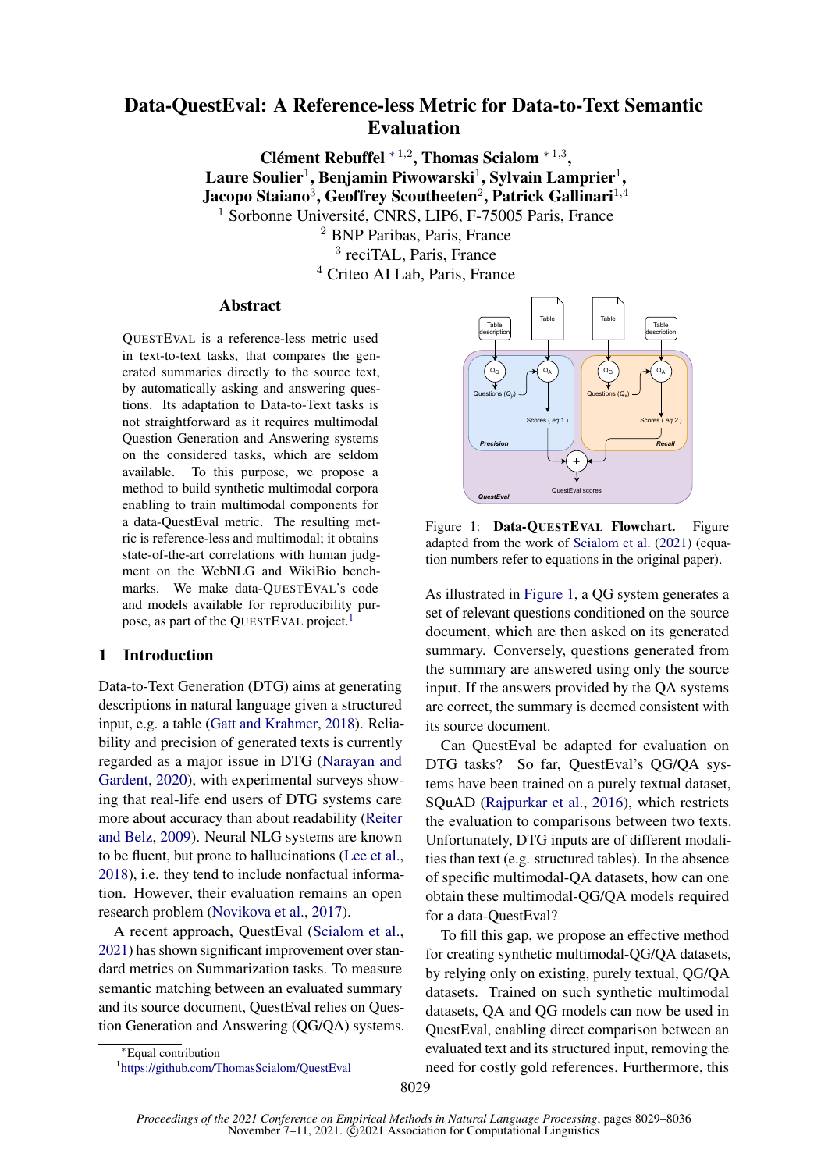# Data-QuestEval: A Reference-less Metric for Data-to-Text Semantic Evaluation

Clément Rebuffel  $*1,2$ , Thomas Scialom  $*1,3$ , Laure Soulier $^1$ , Benjamin Piwowarski $^1$ , Sylvain Lamprier $^1,$ Jacopo Staiano $^3$ , Geoffrey Scoutheeten $^2$ , Patrick Gallinari $^{1,4}$ <sup>1</sup> Sorbonne Université, CNRS, LIP6, F-75005 Paris, France <sup>2</sup> BNP Paribas, Paris, France

3 reciTAL, Paris, France <sup>4</sup> Criteo AI Lab, Paris, France

# Abstract

QUESTEVAL is a reference-less metric used in text-to-text tasks, that compares the generated summaries directly to the source text, by automatically asking and answering questions. Its adaptation to Data-to-Text tasks is not straightforward as it requires multimodal Question Generation and Answering systems on the considered tasks, which are seldom available. To this purpose, we propose a method to build synthetic multimodal corpora enabling to train multimodal components for a data-QuestEval metric. The resulting metric is reference-less and multimodal; it obtains state-of-the-art correlations with human judgment on the WebNLG and WikiBio benchmarks. We make data-QUESTEVAL's code and models available for reproducibility pur-pose, as part of the QUESTEVAL project.<sup>[1](#page-0-0)</sup>

### 1 Introduction

Data-to-Text Generation (DTG) aims at generating descriptions in natural language given a structured input, e.g. a table [\(Gatt and Krahmer,](#page-5-0) [2018\)](#page-5-0). Reliability and precision of generated texts is currently regarded as a major issue in DTG [\(Narayan and](#page-5-1) [Gardent,](#page-5-1) [2020\)](#page-5-1), with experimental surveys showing that real-life end users of DTG systems care more about accuracy than about readability [\(Reiter](#page-6-0) [and Belz,](#page-6-0) [2009\)](#page-6-0). Neural NLG systems are known to be fluent, but prone to hallucinations [\(Lee et al.,](#page-5-2) [2018\)](#page-5-2), i.e. they tend to include nonfactual information. However, their evaluation remains an open research problem [\(Novikova et al.,](#page-5-3) [2017\)](#page-5-3).

A recent approach, QuestEval [\(Scialom et al.,](#page-6-1) [2021\)](#page-6-1) has shown significant improvement over standard metrics on Summarization tasks. To measure semantic matching between an evaluated summary and its source document, QuestEval relies on Question Generation and Answering (QG/QA) systems.

<span id="page-0-1"></span>

Figure 1: Data-OUESTEVAL Flowchart. Figure adapted from the work of [Scialom et al.](#page-6-1) [\(2021\)](#page-6-1) (equation numbers refer to equations in the original paper).

As illustrated in [Figure 1,](#page-0-1) a QG system generates a set of relevant questions conditioned on the source document, which are then asked on its generated summary. Conversely, questions generated from the summary are answered using only the source input. If the answers provided by the QA systems are correct, the summary is deemed consistent with its source document.

Can QuestEval be adapted for evaluation on DTG tasks? So far, QuestEval's QG/QA systems have been trained on a purely textual dataset, SQuAD [\(Rajpurkar et al.,](#page-5-4) [2016\)](#page-5-4), which restricts the evaluation to comparisons between two texts. Unfortunately, DTG inputs are of different modalities than text (e.g. structured tables). In the absence of specific multimodal-QA datasets, how can one obtain these multimodal-QG/QA models required for a data-QuestEval?

To fill this gap, we propose an effective method for creating synthetic multimodal-QG/QA datasets, by relying only on existing, purely textual, QG/QA datasets. Trained on such synthetic multimodal datasets, QA and QG models can now be used in QuestEval, enabling direct comparison between an evaluated text and its structured input, removing the need for costly gold references. Furthermore, this

<span id="page-0-0"></span>1 <https://github.com/ThomasScialom/QuestEval>

<sup>∗</sup>Equal contribution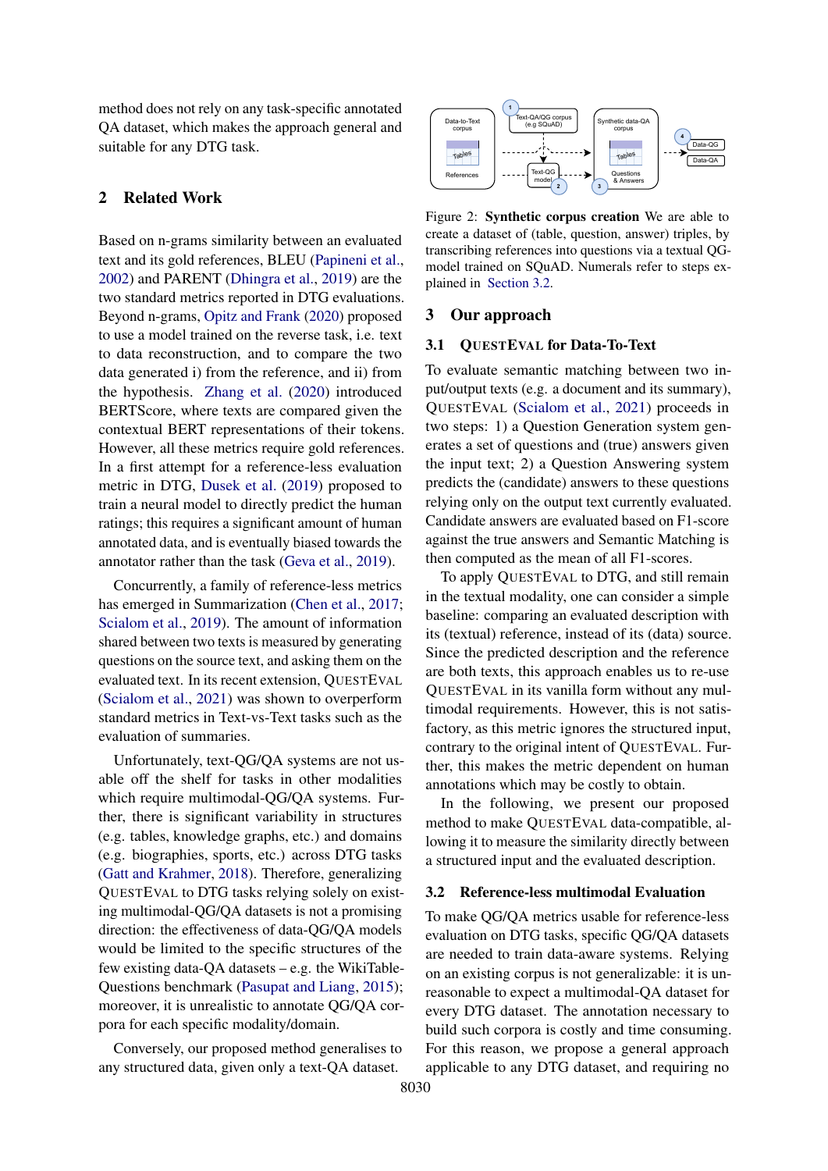method does not rely on any task-specific annotated QA dataset, which makes the approach general and suitable for any DTG task.

# 2 Related Work

Based on n-grams similarity between an evaluated text and its gold references, BLEU [\(Papineni et al.,](#page-5-5) [2002\)](#page-5-5) and PARENT [\(Dhingra et al.,](#page-5-6) [2019\)](#page-5-6) are the two standard metrics reported in DTG evaluations. Beyond n-grams, [Opitz and Frank](#page-5-7) [\(2020\)](#page-5-7) proposed to use a model trained on the reverse task, i.e. text to data reconstruction, and to compare the two data generated i) from the reference, and ii) from the hypothesis. [Zhang et al.](#page-6-2) [\(2020\)](#page-6-2) introduced BERTScore, where texts are compared given the contextual BERT representations of their tokens. However, all these metrics require gold references. In a first attempt for a reference-less evaluation metric in DTG, [Dusek et al.](#page-5-8) [\(2019\)](#page-5-8) proposed to train a neural model to directly predict the human ratings; this requires a significant amount of human annotated data, and is eventually biased towards the annotator rather than the task [\(Geva et al.,](#page-5-9) [2019\)](#page-5-9).

Concurrently, a family of reference-less metrics has emerged in Summarization [\(Chen et al.,](#page-4-0) [2017;](#page-4-0) [Scialom et al.,](#page-6-3) [2019\)](#page-6-3). The amount of information shared between two texts is measured by generating questions on the source text, and asking them on the evaluated text. In its recent extension, QUESTEVAL [\(Scialom et al.,](#page-6-1) [2021\)](#page-6-1) was shown to overperform standard metrics in Text-vs-Text tasks such as the evaluation of summaries.

Unfortunately, text-QG/QA systems are not usable off the shelf for tasks in other modalities which require multimodal-QG/QA systems. Further, there is significant variability in structures (e.g. tables, knowledge graphs, etc.) and domains (e.g. biographies, sports, etc.) across DTG tasks [\(Gatt and Krahmer,](#page-5-0) [2018\)](#page-5-0). Therefore, generalizing QUESTEVAL to DTG tasks relying solely on existing multimodal-QG/QA datasets is not a promising direction: the effectiveness of data-QG/QA models would be limited to the specific structures of the few existing data-QA datasets – e.g. the WikiTable-Questions benchmark [\(Pasupat and Liang,](#page-5-10) [2015\)](#page-5-10); moreover, it is unrealistic to annotate QG/QA corpora for each specific modality/domain.

Conversely, our proposed method generalises to any structured data, given only a text-QA dataset.

<span id="page-1-1"></span>

Figure 2: Synthetic corpus creation We are able to create a dataset of (table, question, answer) triples, by transcribing references into questions via a textual QGmodel trained on SQuAD. Numerals refer to steps explained in [Section 3.2.](#page-1-0)

#### 3 Our approach

## <span id="page-1-2"></span>3.1 QUESTEVAL for Data-To-Text

To evaluate semantic matching between two input/output texts (e.g. a document and its summary), QUESTEVAL [\(Scialom et al.,](#page-6-1) [2021\)](#page-6-1) proceeds in two steps: 1) a Question Generation system generates a set of questions and (true) answers given the input text; 2) a Question Answering system predicts the (candidate) answers to these questions relying only on the output text currently evaluated. Candidate answers are evaluated based on F1-score against the true answers and Semantic Matching is then computed as the mean of all F1-scores.

To apply QUESTEVAL to DTG, and still remain in the textual modality, one can consider a simple baseline: comparing an evaluated description with its (textual) reference, instead of its (data) source. Since the predicted description and the reference are both texts, this approach enables us to re-use QUESTEVAL in its vanilla form without any multimodal requirements. However, this is not satisfactory, as this metric ignores the structured input, contrary to the original intent of QUESTEVAL. Further, this makes the metric dependent on human annotations which may be costly to obtain.

In the following, we present our proposed method to make QUESTEVAL data-compatible, allowing it to measure the similarity directly between a structured input and the evaluated description.

#### <span id="page-1-0"></span>3.2 Reference-less multimodal Evaluation

To make QG/QA metrics usable for reference-less evaluation on DTG tasks, specific QG/QA datasets are needed to train data-aware systems. Relying on an existing corpus is not generalizable: it is unreasonable to expect a multimodal-QA dataset for every DTG dataset. The annotation necessary to build such corpora is costly and time consuming. For this reason, we propose a general approach applicable to any DTG dataset, and requiring no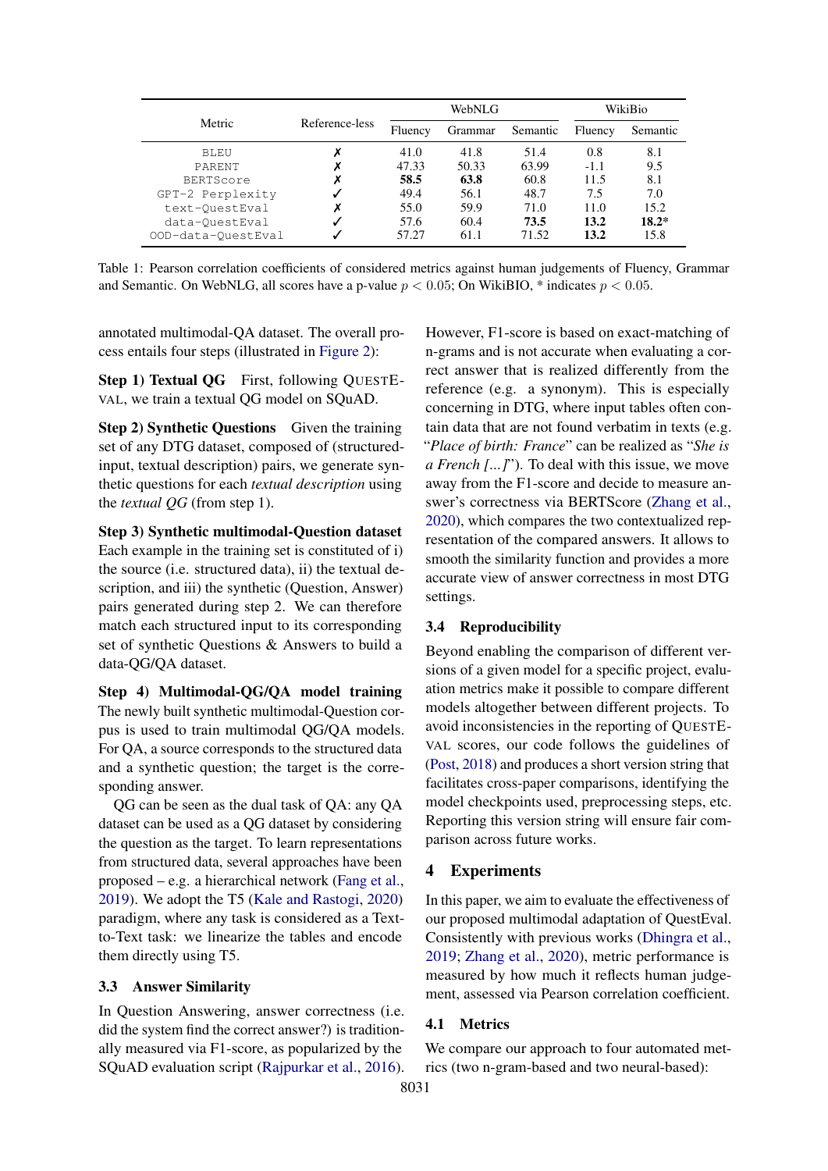<span id="page-2-0"></span>

|                    | Reference-less | WebNLG  |         |          | WikiBio |          |
|--------------------|----------------|---------|---------|----------|---------|----------|
| Metric             |                | Fluency | Grammar | Semantic | Fluency | Semantic |
| BLEU               |                | 41.0    | 41.8    | 51.4     | 0.8     | 8.1      |
| PARENT             |                | 47.33   | 50.33   | 63.99    | $-1.1$  | 9.5      |
| <b>BERTScore</b>   |                | 58.5    | 63.8    | 60.8     | 11.5    | 8.1      |
| GPT-2 Perplexity   |                | 49.4    | 56.1    | 48.7     | 7.5     | 7.0      |
| text-OuestEval     |                | 55.0    | 59.9    | 71.0     | 11.0    | 15.2     |
| data-OuestEval     |                | 57.6    | 60.4    | 73.5     | 13.2    | $18.2*$  |
| OOD-data-QuestEval |                | 57.27   | 61.1    | 71.52    | 13.2    | 15.8     |

Table 1: Pearson correlation coefficients of considered metrics against human judgements of Fluency, Grammar and Semantic. On WebNLG, all scores have a p-value  $p < 0.05$ ; On WikiBIO, \* indicates  $p < 0.05$ .

annotated multimodal-QA dataset. The overall process entails four steps (illustrated in [Figure 2\)](#page-1-1):

Step 1) Textual QG First, following QUESTE-VAL, we train a textual QG model on SQuAD.

Step 2) Synthetic Questions Given the training set of any DTG dataset, composed of (structuredinput, textual description) pairs, we generate synthetic questions for each *textual description* using the *textual QG* (from step 1).

Step 3) Synthetic multimodal-Question dataset Each example in the training set is constituted of i) the source (i.e. structured data), ii) the textual description, and iii) the synthetic (Question, Answer) pairs generated during step 2. We can therefore match each structured input to its corresponding set of synthetic Questions & Answers to build a data-QG/QA dataset.

Step 4) Multimodal-QG/QA model training The newly built synthetic multimodal-Question corpus is used to train multimodal QG/QA models. For QA, a source corresponds to the structured data and a synthetic question; the target is the corresponding answer.

QG can be seen as the dual task of QA: any QA dataset can be used as a QG dataset by considering the question as the target. To learn representations from structured data, several approaches have been proposed – e.g. a hierarchical network [\(Fang et al.,](#page-5-11) [2019\)](#page-5-11). We adopt the T5 [\(Kale and Rastogi,](#page-5-12) [2020\)](#page-5-12) paradigm, where any task is considered as a Textto-Text task: we linearize the tables and encode them directly using T5.

# <span id="page-2-1"></span>3.3 Answer Similarity

In Question Answering, answer correctness (i.e. did the system find the correct answer?) is traditionally measured via F1-score, as popularized by the SQuAD evaluation script [\(Rajpurkar et al.,](#page-5-4) [2016\)](#page-5-4). However, F1-score is based on exact-matching of n-grams and is not accurate when evaluating a correct answer that is realized differently from the reference (e.g. a synonym). This is especially concerning in DTG, where input tables often contain data that are not found verbatim in texts (e.g. "*Place of birth: France*" can be realized as "*She is a French [...]*"). To deal with this issue, we move away from the F1-score and decide to measure answer's correctness via BERTScore [\(Zhang et al.,](#page-6-2) [2020\)](#page-6-2), which compares the two contextualized representation of the compared answers. It allows to smooth the similarity function and provides a more accurate view of answer correctness in most DTG settings.

#### 3.4 Reproducibility

Beyond enabling the comparison of different versions of a given model for a specific project, evaluation metrics make it possible to compare different models altogether between different projects. To avoid inconsistencies in the reporting of QUESTE-VAL scores, our code follows the guidelines of [\(Post,](#page-5-13) [2018\)](#page-5-13) and produces a short version string that facilitates cross-paper comparisons, identifying the model checkpoints used, preprocessing steps, etc. Reporting this version string will ensure fair comparison across future works.

## 4 Experiments

In this paper, we aim to evaluate the effectiveness of our proposed multimodal adaptation of QuestEval. Consistently with previous works [\(Dhingra et al.,](#page-5-6) [2019;](#page-5-6) [Zhang et al.,](#page-6-2) [2020\)](#page-6-2), metric performance is measured by how much it reflects human judgement, assessed via Pearson correlation coefficient.

#### 4.1 Metrics

We compare our approach to four automated metrics (two n-gram-based and two neural-based):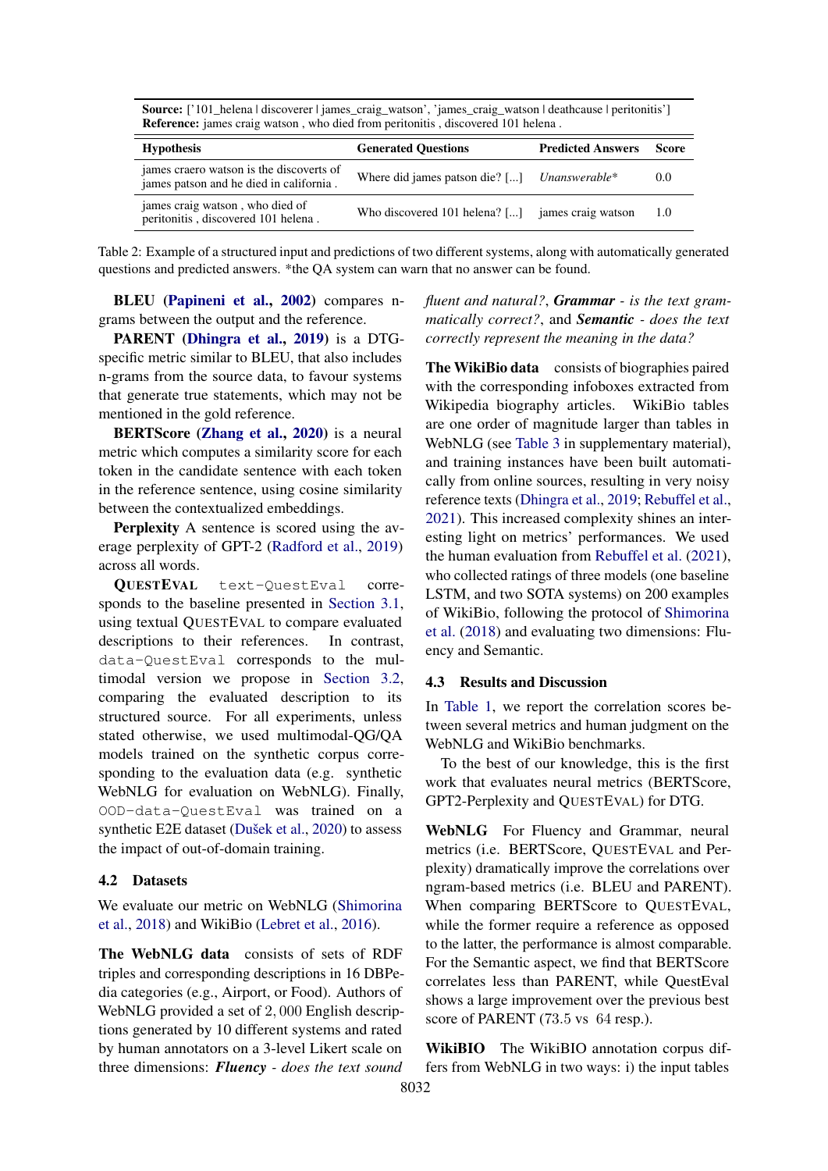<span id="page-3-0"></span>

|                                                                                     | <b>Source:</b> ['101_helena   discoverer   james_craig_watson', 'james_craig_watson   deathcause   peritonitis']<br><b>Reference:</b> james craig watson, who died from peritonitis, discovered 101 helena. |                                |     |  |  |  |
|-------------------------------------------------------------------------------------|-------------------------------------------------------------------------------------------------------------------------------------------------------------------------------------------------------------|--------------------------------|-----|--|--|--|
| <b>Hypothesis</b>                                                                   | <b>Generated Ouestions</b>                                                                                                                                                                                  | <b>Predicted Answers Score</b> |     |  |  |  |
| james craero watson is the discoverts of<br>james patson and he died in california. | Where did james patson die? [] Unanswerable*                                                                                                                                                                |                                | 0.0 |  |  |  |
| james craig watson, who died of<br>peritonitis, discovered 101 helena.              | Who discovered 101 helena? [] james craig watson                                                                                                                                                            |                                | 1.0 |  |  |  |

Table 2: Example of a structured input and predictions of two different systems, along with automatically generated questions and predicted answers. \*the QA system can warn that no answer can be found.

BLEU [\(Papineni et al.,](#page-5-5) [2002\)](#page-5-5) compares ngrams between the output and the reference.

PARENT [\(Dhingra et al.,](#page-5-6) [2019\)](#page-5-6) is a DTGspecific metric similar to BLEU, that also includes n-grams from the source data, to favour systems that generate true statements, which may not be mentioned in the gold reference.

BERTScore [\(Zhang et al.,](#page-6-2) [2020\)](#page-6-2) is a neural metric which computes a similarity score for each token in the candidate sentence with each token in the reference sentence, using cosine similarity between the contextualized embeddings.

Perplexity A sentence is scored using the average perplexity of GPT-2 [\(Radford et al.,](#page-5-14) [2019\)](#page-5-14) across all words.

QUESTEVAL text-QuestEval corresponds to the baseline presented in [Section 3.1,](#page-1-2) using textual QUESTEVAL to compare evaluated descriptions to their references. In contrast, data-QuestEval corresponds to the multimodal version we propose in [Section 3.2,](#page-1-0) comparing the evaluated description to its structured source. For all experiments, unless stated otherwise, we used multimodal-QG/QA models trained on the synthetic corpus corresponding to the evaluation data (e.g. synthetic WebNLG for evaluation on WebNLG). Finally, OOD-data-QuestEval was trained on a synthetic E2E dataset [\(Dušek et al.,](#page-5-15) [2020\)](#page-5-15) to assess the impact of out-of-domain training.

# 4.2 Datasets

We evaluate our metric on WebNLG [\(Shimorina](#page-6-4) [et al.,](#page-6-4) [2018\)](#page-6-4) and WikiBio [\(Lebret et al.,](#page-5-16) [2016\)](#page-5-16).

The WebNLG data consists of sets of RDF triples and corresponding descriptions in 16 DBPedia categories (e.g., Airport, or Food). Authors of WebNLG provided a set of 2, 000 English descriptions generated by 10 different systems and rated by human annotators on a 3-level Likert scale on three dimensions: *Fluency - does the text sound*

*fluent and natural?*, *Grammar - is the text grammatically correct?*, and *Semantic - does the text correctly represent the meaning in the data?*

The WikiBio data consists of biographies paired with the corresponding infoboxes extracted from Wikipedia biography articles. WikiBio tables are one order of magnitude larger than tables in WebNLG (see [Table 3](#page-7-0) in supplementary material), and training instances have been built automatically from online sources, resulting in very noisy reference texts [\(Dhingra et al.,](#page-5-6) [2019;](#page-5-6) [Rebuffel et al.,](#page-6-5) [2021\)](#page-6-5). This increased complexity shines an interesting light on metrics' performances. We used the human evaluation from [Rebuffel et al.](#page-6-5) [\(2021\)](#page-6-5), who collected ratings of three models (one baseline LSTM, and two SOTA systems) on 200 examples of WikiBio, following the protocol of [Shimorina](#page-6-4) [et al.](#page-6-4) [\(2018\)](#page-6-4) and evaluating two dimensions: Fluency and Semantic.

#### 4.3 Results and Discussion

In [Table 1,](#page-2-0) we report the correlation scores between several metrics and human judgment on the WebNLG and WikiBio benchmarks.

To the best of our knowledge, this is the first work that evaluates neural metrics (BERTScore, GPT2-Perplexity and QUESTEVAL) for DTG.

WebNLG For Fluency and Grammar, neural metrics (i.e. BERTScore, QUESTEVAL and Perplexity) dramatically improve the correlations over ngram-based metrics (i.e. BLEU and PARENT). When comparing BERTScore to QUESTEVAL, while the former require a reference as opposed to the latter, the performance is almost comparable. For the Semantic aspect, we find that BERTScore correlates less than PARENT, while QuestEval shows a large improvement over the previous best score of PARENT (73.5 vs 64 resp.).

WikiBIO The WikiBIO annotation corpus differs from WebNLG in two ways: i) the input tables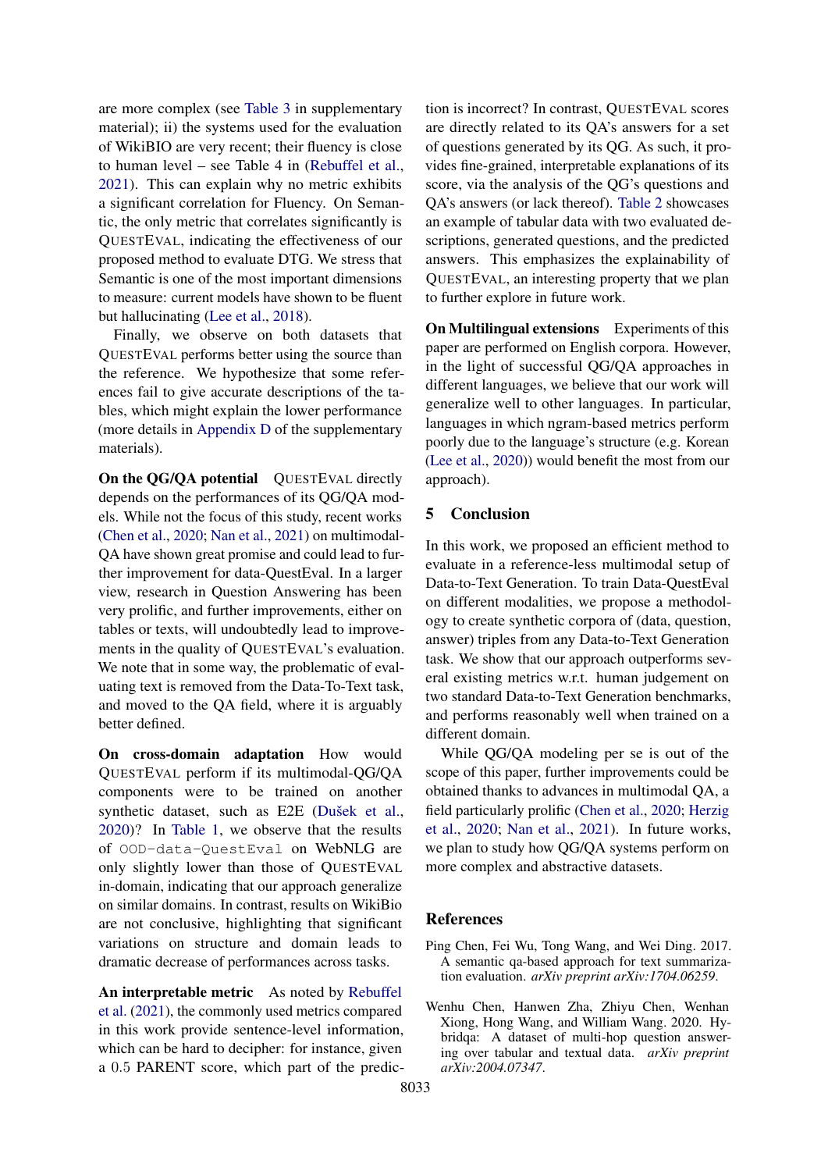are more complex (see [Table 3](#page-7-0) in supplementary material); ii) the systems used for the evaluation of WikiBIO are very recent; their fluency is close to human level – see Table 4 in [\(Rebuffel et al.,](#page-6-5) [2021\)](#page-6-5). This can explain why no metric exhibits a significant correlation for Fluency. On Semantic, the only metric that correlates significantly is QUESTEVAL, indicating the effectiveness of our proposed method to evaluate DTG. We stress that Semantic is one of the most important dimensions to measure: current models have shown to be fluent but hallucinating [\(Lee et al.,](#page-5-2) [2018\)](#page-5-2).

Finally, we observe on both datasets that QUESTEVAL performs better using the source than the reference. We hypothesize that some references fail to give accurate descriptions of the tables, which might explain the lower performance (more details in [Appendix D](#page-7-1) of the supplementary materials).

On the QG/QA potential QUESTEVAL directly depends on the performances of its QG/QA models. While not the focus of this study, recent works [\(Chen et al.,](#page-4-1) [2020;](#page-4-1) [Nan et al.,](#page-5-17) [2021\)](#page-5-17) on multimodal-QA have shown great promise and could lead to further improvement for data-QuestEval. In a larger view, research in Question Answering has been very prolific, and further improvements, either on tables or texts, will undoubtedly lead to improvements in the quality of QUESTEVAL's evaluation. We note that in some way, the problematic of evaluating text is removed from the Data-To-Text task, and moved to the QA field, where it is arguably better defined.

On cross-domain adaptation How would QUESTEVAL perform if its multimodal-QG/QA components were to be trained on another synthetic dataset, such as E2E [\(Dušek et al.,](#page-5-15) [2020\)](#page-5-15)? In [Table 1,](#page-2-0) we observe that the results of OOD-data-QuestEval on WebNLG are only slightly lower than those of QUESTEVAL in-domain, indicating that our approach generalize on similar domains. In contrast, results on WikiBio are not conclusive, highlighting that significant variations on structure and domain leads to dramatic decrease of performances across tasks.

An interpretable metric As noted by [Rebuffel](#page-6-5) [et al.](#page-6-5) [\(2021\)](#page-6-5), the commonly used metrics compared in this work provide sentence-level information, which can be hard to decipher: for instance, given a 0.5 PARENT score, which part of the prediction is incorrect? In contrast, QUESTEVAL scores are directly related to its QA's answers for a set of questions generated by its QG. As such, it provides fine-grained, interpretable explanations of its score, via the analysis of the QG's questions and QA's answers (or lack thereof). [Table 2](#page-3-0) showcases an example of tabular data with two evaluated descriptions, generated questions, and the predicted answers. This emphasizes the explainability of QUESTEVAL, an interesting property that we plan to further explore in future work.

On Multilingual extensions Experiments of this paper are performed on English corpora. However, in the light of successful QG/QA approaches in different languages, we believe that our work will generalize well to other languages. In particular, languages in which ngram-based metrics perform poorly due to the language's structure (e.g. Korean [\(Lee et al.,](#page-5-18) [2020\)](#page-5-18)) would benefit the most from our approach).

# 5 Conclusion

In this work, we proposed an efficient method to evaluate in a reference-less multimodal setup of Data-to-Text Generation. To train Data-QuestEval on different modalities, we propose a methodology to create synthetic corpora of (data, question, answer) triples from any Data-to-Text Generation task. We show that our approach outperforms several existing metrics w.r.t. human judgement on two standard Data-to-Text Generation benchmarks, and performs reasonably well when trained on a different domain.

While QG/QA modeling per se is out of the scope of this paper, further improvements could be obtained thanks to advances in multimodal QA, a field particularly prolific [\(Chen et al.,](#page-4-1) [2020;](#page-4-1) [Herzig](#page-5-19) [et al.,](#page-5-19) [2020;](#page-5-19) [Nan et al.,](#page-5-17) [2021\)](#page-5-17). In future works, we plan to study how QG/QA systems perform on more complex and abstractive datasets.

## References

- <span id="page-4-0"></span>Ping Chen, Fei Wu, Tong Wang, and Wei Ding. 2017. A semantic qa-based approach for text summarization evaluation. *arXiv preprint arXiv:1704.06259*.
- <span id="page-4-1"></span>Wenhu Chen, Hanwen Zha, Zhiyu Chen, Wenhan Xiong, Hong Wang, and William Wang. 2020. Hybridqa: A dataset of multi-hop question answering over tabular and textual data. *arXiv preprint arXiv:2004.07347*.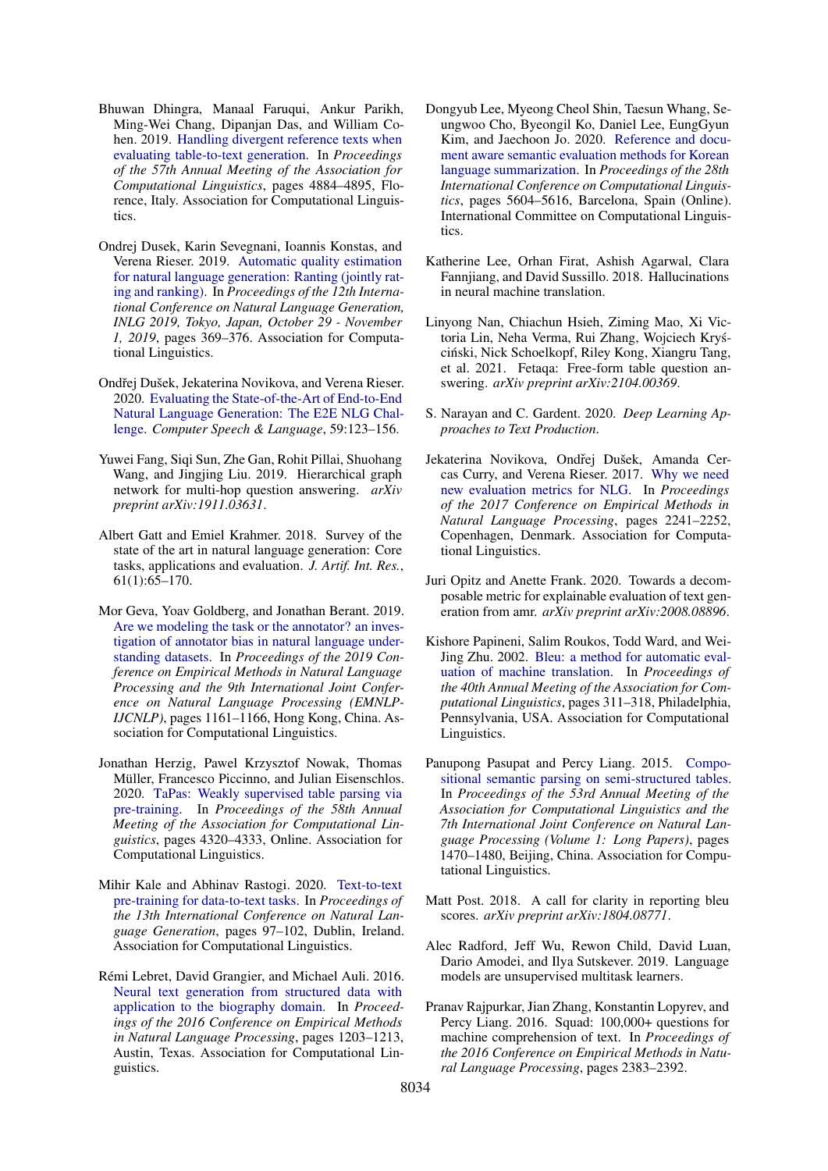- <span id="page-5-6"></span>Bhuwan Dhingra, Manaal Faruqui, Ankur Parikh, Ming-Wei Chang, Dipanjan Das, and William Cohen. 2019. [Handling divergent reference texts when](https://doi.org/10.18653/v1/P19-1483) [evaluating table-to-text generation.](https://doi.org/10.18653/v1/P19-1483) In *Proceedings of the 57th Annual Meeting of the Association for Computational Linguistics*, pages 4884–4895, Florence, Italy. Association for Computational Linguistics.
- <span id="page-5-8"></span>Ondrej Dusek, Karin Sevegnani, Ioannis Konstas, and Verena Rieser. 2019. [Automatic quality estimation](https://doi.org/10.18653/v1/W19-8644) [for natural language generation: Ranting \(jointly rat](https://doi.org/10.18653/v1/W19-8644)[ing and ranking\).](https://doi.org/10.18653/v1/W19-8644) In *Proceedings of the 12th International Conference on Natural Language Generation, INLG 2019, Tokyo, Japan, October 29 - November 1, 2019*, pages 369–376. Association for Computational Linguistics.
- <span id="page-5-15"></span>Ondřej Dušek, Jekaterina Novikova, and Verena Rieser. 2020. [Evaluating the State-of-the-Art of End-to-End](https://doi.org/10.1016/j.csl.2019.06.009) [Natural Language Generation: The E2E NLG Chal](https://doi.org/10.1016/j.csl.2019.06.009)[lenge.](https://doi.org/10.1016/j.csl.2019.06.009) *Computer Speech & Language*, 59:123–156.
- <span id="page-5-11"></span>Yuwei Fang, Siqi Sun, Zhe Gan, Rohit Pillai, Shuohang Wang, and Jingjing Liu. 2019. Hierarchical graph network for multi-hop question answering. *arXiv preprint arXiv:1911.03631*.
- <span id="page-5-0"></span>Albert Gatt and Emiel Krahmer. 2018. Survey of the state of the art in natural language generation: Core tasks, applications and evaluation. *J. Artif. Int. Res.*, 61(1):65–170.
- <span id="page-5-9"></span>Mor Geva, Yoav Goldberg, and Jonathan Berant. 2019. [Are we modeling the task or the annotator? an inves](https://doi.org/10.18653/v1/D19-1107)[tigation of annotator bias in natural language under](https://doi.org/10.18653/v1/D19-1107)[standing datasets.](https://doi.org/10.18653/v1/D19-1107) In *Proceedings of the 2019 Conference on Empirical Methods in Natural Language Processing and the 9th International Joint Conference on Natural Language Processing (EMNLP-IJCNLP)*, pages 1161–1166, Hong Kong, China. Association for Computational Linguistics.
- <span id="page-5-19"></span>Jonathan Herzig, Pawel Krzysztof Nowak, Thomas Müller, Francesco Piccinno, and Julian Eisenschlos. 2020. [TaPas: Weakly supervised table parsing via](https://doi.org/10.18653/v1/2020.acl-main.398) [pre-training.](https://doi.org/10.18653/v1/2020.acl-main.398) In *Proceedings of the 58th Annual Meeting of the Association for Computational Linguistics*, pages 4320–4333, Online. Association for Computational Linguistics.
- <span id="page-5-12"></span>Mihir Kale and Abhinav Rastogi. 2020. [Text-to-text](https://www.aclweb.org/anthology/2020.inlg-1.14) [pre-training for data-to-text tasks.](https://www.aclweb.org/anthology/2020.inlg-1.14) In *Proceedings of the 13th International Conference on Natural Language Generation*, pages 97–102, Dublin, Ireland. Association for Computational Linguistics.
- <span id="page-5-16"></span>Rémi Lebret, David Grangier, and Michael Auli. 2016. [Neural text generation from structured data with](https://doi.org/10.18653/v1/D16-1128) [application to the biography domain.](https://doi.org/10.18653/v1/D16-1128) In *Proceedings of the 2016 Conference on Empirical Methods in Natural Language Processing*, pages 1203–1213, Austin, Texas. Association for Computational Linguistics.
- <span id="page-5-18"></span>Dongyub Lee, Myeong Cheol Shin, Taesun Whang, Seungwoo Cho, Byeongil Ko, Daniel Lee, EungGyun Kim, and Jaechoon Jo. 2020. [Reference and docu](https://doi.org/10.18653/v1/2020.coling-main.491)[ment aware semantic evaluation methods for Korean](https://doi.org/10.18653/v1/2020.coling-main.491) [language summarization.](https://doi.org/10.18653/v1/2020.coling-main.491) In *Proceedings of the 28th International Conference on Computational Linguistics*, pages 5604–5616, Barcelona, Spain (Online). International Committee on Computational Linguistics.
- <span id="page-5-2"></span>Katherine Lee, Orhan Firat, Ashish Agarwal, Clara Fannjiang, and David Sussillo. 2018. Hallucinations in neural machine translation.
- <span id="page-5-17"></span>Linyong Nan, Chiachun Hsieh, Ziming Mao, Xi Victoria Lin, Neha Verma, Rui Zhang, Wojciech Krys-´ ciński, Nick Schoelkopf, Riley Kong, Xiangru Tang, et al. 2021. Fetaqa: Free-form table question answering. *arXiv preprint arXiv:2104.00369*.
- <span id="page-5-1"></span>S. Narayan and C. Gardent. 2020. *Deep Learning Approaches to Text Production*.
- <span id="page-5-3"></span>Jekaterina Novikova, Ondřej Dušek, Amanda Cercas Curry, and Verena Rieser. 2017. [Why we need](https://doi.org/10.18653/v1/D17-1238) [new evaluation metrics for NLG.](https://doi.org/10.18653/v1/D17-1238) In *Proceedings of the 2017 Conference on Empirical Methods in Natural Language Processing*, pages 2241–2252, Copenhagen, Denmark. Association for Computational Linguistics.
- <span id="page-5-7"></span>Juri Opitz and Anette Frank. 2020. Towards a decomposable metric for explainable evaluation of text generation from amr. *arXiv preprint arXiv:2008.08896*.
- <span id="page-5-5"></span>Kishore Papineni, Salim Roukos, Todd Ward, and Wei-Jing Zhu. 2002. [Bleu: a method for automatic eval](https://doi.org/10.3115/1073083.1073135)[uation of machine translation.](https://doi.org/10.3115/1073083.1073135) In *Proceedings of the 40th Annual Meeting of the Association for Computational Linguistics*, pages 311–318, Philadelphia, Pennsylvania, USA. Association for Computational Linguistics.
- <span id="page-5-10"></span>Panupong Pasupat and Percy Liang. 2015. [Compo](https://doi.org/10.3115/v1/P15-1142)[sitional semantic parsing on semi-structured tables.](https://doi.org/10.3115/v1/P15-1142) In *Proceedings of the 53rd Annual Meeting of the Association for Computational Linguistics and the 7th International Joint Conference on Natural Language Processing (Volume 1: Long Papers)*, pages 1470–1480, Beijing, China. Association for Computational Linguistics.
- <span id="page-5-13"></span>Matt Post. 2018. A call for clarity in reporting bleu scores. *arXiv preprint arXiv:1804.08771*.
- <span id="page-5-14"></span>Alec Radford, Jeff Wu, Rewon Child, David Luan, Dario Amodei, and Ilya Sutskever. 2019. Language models are unsupervised multitask learners.
- <span id="page-5-4"></span>Pranav Rajpurkar, Jian Zhang, Konstantin Lopyrev, and Percy Liang. 2016. Squad: 100,000+ questions for machine comprehension of text. In *Proceedings of the 2016 Conference on Empirical Methods in Natural Language Processing*, pages 2383–2392.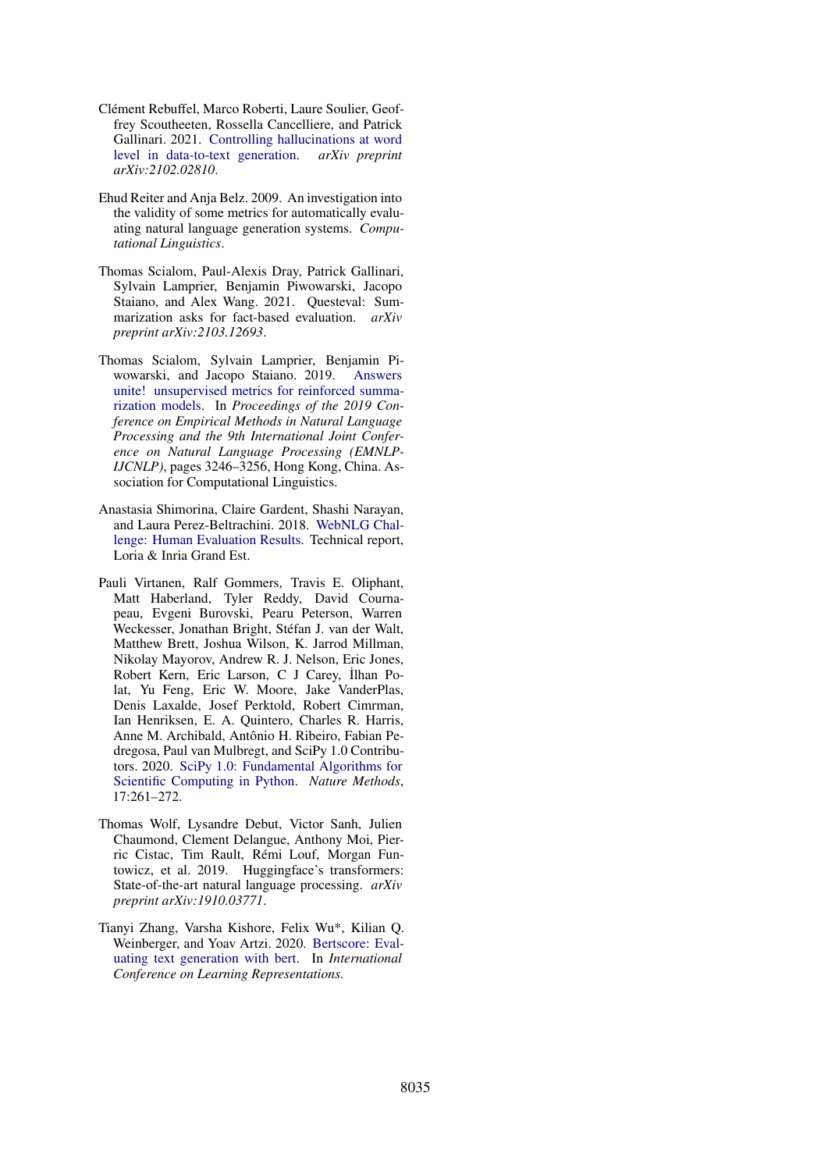- <span id="page-6-5"></span>Clément Rebuffel, Marco Roberti, Laure Soulier, Geoffrey Scoutheeten, Rossella Cancelliere, and Patrick Gallinari. 2021. [Controlling hallucinations at word](https://arxiv.org/pdf/2102.02810.pdf) [level in data-to-text generation.](https://arxiv.org/pdf/2102.02810.pdf) *arXiv preprint arXiv:2102.02810*.
- <span id="page-6-0"></span>Ehud Reiter and Anja Belz. 2009. An investigation into the validity of some metrics for automatically evaluating natural language generation systems. *Computational Linguistics*.
- <span id="page-6-1"></span>Thomas Scialom, Paul-Alexis Dray, Patrick Gallinari, Sylvain Lamprier, Benjamin Piwowarski, Jacopo Staiano, and Alex Wang. 2021. Questeval: Summarization asks for fact-based evaluation. *arXiv preprint arXiv:2103.12693*.
- <span id="page-6-3"></span>Thomas Scialom, Sylvain Lamprier, Benjamin Piwowarski, and Jacopo Staiano. 2019. [Answers](https://doi.org/10.18653/v1/D19-1320) [unite! unsupervised metrics for reinforced summa](https://doi.org/10.18653/v1/D19-1320)[rization models.](https://doi.org/10.18653/v1/D19-1320) In *Proceedings of the 2019 Conference on Empirical Methods in Natural Language Processing and the 9th International Joint Conference on Natural Language Processing (EMNLP-IJCNLP)*, pages 3246–3256, Hong Kong, China. Association for Computational Linguistics.
- <span id="page-6-4"></span>Anastasia Shimorina, Claire Gardent, Shashi Narayan, and Laura Perez-Beltrachini. 2018. [WebNLG Chal](https://hal.archives-ouvertes.fr/hal-03007072)[lenge: Human Evaluation Results.](https://hal.archives-ouvertes.fr/hal-03007072) Technical report, Loria & Inria Grand Est.
- <span id="page-6-7"></span>Pauli Virtanen, Ralf Gommers, Travis E. Oliphant, Matt Haberland, Tyler Reddy, David Cournapeau, Evgeni Burovski, Pearu Peterson, Warren Weckesser, Jonathan Bright, Stéfan J. van der Walt, Matthew Brett, Joshua Wilson, K. Jarrod Millman, Nikolay Mayorov, Andrew R. J. Nelson, Eric Jones, Robert Kern, Eric Larson, C J Carey, İlhan Polat, Yu Feng, Eric W. Moore, Jake VanderPlas, Denis Laxalde, Josef Perktold, Robert Cimrman, Ian Henriksen, E. A. Quintero, Charles R. Harris, Anne M. Archibald, Antônio H. Ribeiro, Fabian Pedregosa, Paul van Mulbregt, and SciPy 1.0 Contributors. 2020. [SciPy 1.0: Fundamental Algorithms for](https://doi.org/10.1038/s41592-019-0686-2) [Scientific Computing in Python.](https://doi.org/10.1038/s41592-019-0686-2) *Nature Methods*, 17:261–272.
- <span id="page-6-6"></span>Thomas Wolf, Lysandre Debut, Victor Sanh, Julien Chaumond, Clement Delangue, Anthony Moi, Pierric Cistac, Tim Rault, Rémi Louf, Morgan Funtowicz, et al. 2019. Huggingface's transformers: State-of-the-art natural language processing. *arXiv preprint arXiv:1910.03771*.
- <span id="page-6-2"></span>Tianyi Zhang, Varsha Kishore, Felix Wu\*, Kilian Q. Weinberger, and Yoav Artzi. 2020. [Bertscore: Eval](https://openreview.net/forum?id=SkeHuCVFDr)[uating text generation with bert.](https://openreview.net/forum?id=SkeHuCVFDr) In *International Conference on Learning Representations*.